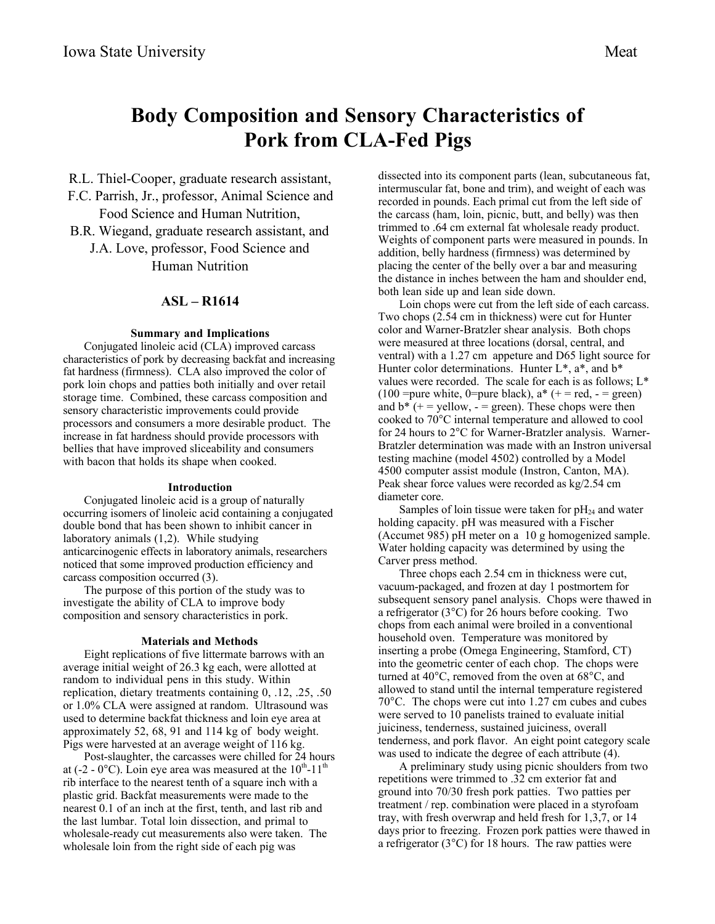# **Body Composition and Sensory Characteristics of Pork from CLA-Fed Pigs**

R.L. Thiel-Cooper, graduate research assistant,

- F.C. Parrish, Jr., professor, Animal Science and Food Science and Human Nutrition,
- B.R. Wiegand, graduate research assistant, and J.A. Love, professor, Food Science and

Human Nutrition

## **ASL – R1614**

### **Summary and Implications**

Conjugated linoleic acid (CLA) improved carcass characteristics of pork by decreasing backfat and increasing fat hardness (firmness). CLA also improved the color of pork loin chops and patties both initially and over retail storage time. Combined, these carcass composition and sensory characteristic improvements could provide processors and consumers a more desirable product. The increase in fat hardness should provide processors with bellies that have improved sliceability and consumers with bacon that holds its shape when cooked.

#### **Introduction**

Conjugated linoleic acid is a group of naturally occurring isomers of linoleic acid containing a conjugated double bond that has been shown to inhibit cancer in laboratory animals (1,2). While studying anticarcinogenic effects in laboratory animals, researchers noticed that some improved production efficiency and carcass composition occurred (3).

The purpose of this portion of the study was to investigate the ability of CLA to improve body composition and sensory characteristics in pork.

### **Materials and Methods**

Eight replications of five littermate barrows with an average initial weight of 26.3 kg each, were allotted at random to individual pens in this study. Within replication, dietary treatments containing 0, .12, .25, .50 or 1.0% CLA were assigned at random. Ultrasound was used to determine backfat thickness and loin eye area at approximately 52, 68, 91 and 114 kg of body weight. Pigs were harvested at an average weight of 116 kg.

Post-slaughter, the carcasses were chilled for 24 hours at (-2 -  $0^{\circ}$ C). Loin eye area was measured at the  $10^{th}$ - $11^{th}$ rib interface to the nearest tenth of a square inch with a plastic grid. Backfat measurements were made to the nearest 0.1 of an inch at the first, tenth, and last rib and the last lumbar. Total loin dissection, and primal to wholesale-ready cut measurements also were taken. The wholesale loin from the right side of each pig was

dissected into its component parts (lean, subcutaneous fat, intermuscular fat, bone and trim), and weight of each was recorded in pounds. Each primal cut from the left side of the carcass (ham, loin, picnic, butt, and belly) was then trimmed to .64 cm external fat wholesale ready product. Weights of component parts were measured in pounds. In addition, belly hardness (firmness) was determined by placing the center of the belly over a bar and measuring the distance in inches between the ham and shoulder end, both lean side up and lean side down.

Loin chops were cut from the left side of each carcass. Two chops (2.54 cm in thickness) were cut for Hunter color and Warner-Bratzler shear analysis. Both chops were measured at three locations (dorsal, central, and ventral) with a 1.27 cm appeture and D65 light source for Hunter color determinations. Hunter  $L^*$ ,  $a^*$ , and  $b^*$ values were recorded. The scale for each is as follows; L\* (100 =pure white, 0=pure black),  $a^*$  (+ = red, - = green) and  $b^*$  (+ = yellow, - = green). These chops were then cooked to 70°C internal temperature and allowed to cool for 24 hours to 2°C for Warner-Bratzler analysis. Warner-Bratzler determination was made with an Instron universal testing machine (model 4502) controlled by a Model 4500 computer assist module (Instron, Canton, MA). Peak shear force values were recorded as kg/2.54 cm diameter core.

Samples of loin tissue were taken for  $pH_{24}$  and water holding capacity. pH was measured with a Fischer (Accumet 985) pH meter on a 10 g homogenized sample. Water holding capacity was determined by using the Carver press method.

Three chops each 2.54 cm in thickness were cut, vacuum-packaged, and frozen at day 1 postmortem for subsequent sensory panel analysis. Chops were thawed in a refrigerator (3°C) for 26 hours before cooking. Two chops from each animal were broiled in a conventional household oven. Temperature was monitored by inserting a probe (Omega Engineering, Stamford, CT) into the geometric center of each chop. The chops were turned at 40°C, removed from the oven at 68°C, and allowed to stand until the internal temperature registered 70°C. The chops were cut into 1.27 cm cubes and cubes were served to 10 panelists trained to evaluate initial juiciness, tenderness, sustained juiciness, overall tenderness, and pork flavor. An eight point category scale was used to indicate the degree of each attribute (4).

A preliminary study using picnic shoulders from two repetitions were trimmed to .32 cm exterior fat and ground into 70/30 fresh pork patties. Two patties per treatment / rep. combination were placed in a styrofoam tray, with fresh overwrap and held fresh for 1,3,7, or 14 days prior to freezing. Frozen pork patties were thawed in a refrigerator (3°C) for 18 hours. The raw patties were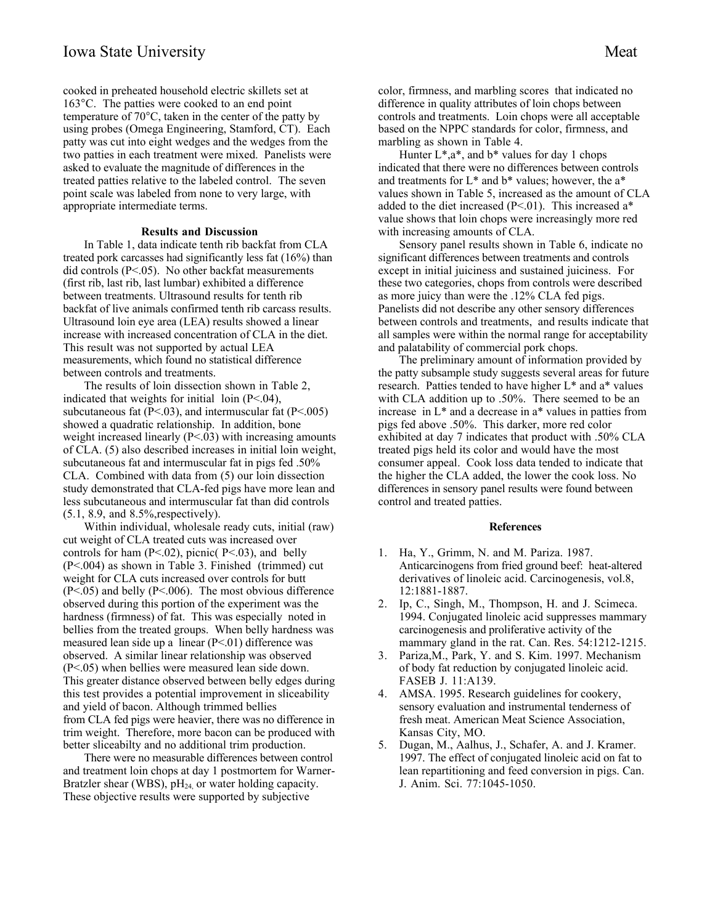cooked in preheated household electric skillets set at 163°C. The patties were cooked to an end point temperature of 70°C, taken in the center of the patty by using probes (Omega Engineering, Stamford, CT). Each patty was cut into eight wedges and the wedges from the two patties in each treatment were mixed. Panelists were asked to evaluate the magnitude of differences in the treated patties relative to the labeled control. The seven point scale was labeled from none to very large, with appropriate intermediate terms.

## **Results and Discussion**

In Table 1, data indicate tenth rib backfat from CLA treated pork carcasses had significantly less fat (16%) than did controls (P<.05). No other backfat measurements (first rib, last rib, last lumbar) exhibited a difference between treatments. Ultrasound results for tenth rib backfat of live animals confirmed tenth rib carcass results. Ultrasound loin eye area (LEA) results showed a linear increase with increased concentration of CLA in the diet. This result was not supported by actual LEA measurements, which found no statistical difference between controls and treatments.

The results of loin dissection shown in Table 2, indicated that weights for initial loin (P<.04), subcutaneous fat  $(P<.03)$ , and intermuscular fat  $(P<.005)$ showed a quadratic relationship. In addition, bone weight increased linearly (P<.03) with increasing amounts of CLA. (5) also described increases in initial loin weight, subcutaneous fat and intermuscular fat in pigs fed .50% CLA. Combined with data from (5) our loin dissection study demonstrated that CLA-fed pigs have more lean and less subcutaneous and intermuscular fat than did controls (5.1, 8.9, and 8.5%,respectively).

Within individual, wholesale ready cuts, initial (raw) cut weight of CLA treated cuts was increased over controls for ham  $(P<.02)$ , picnic $(P<.03)$ , and belly (P<.004) as shown in Table 3. Finished (trimmed) cut weight for CLA cuts increased over controls for butt (P<.05) and belly (P<.006). The most obvious difference observed during this portion of the experiment was the hardness (firmness) of fat. This was especially noted in bellies from the treated groups. When belly hardness was measured lean side up a linear  $(P<.01)$  difference was observed. A similar linear relationship was observed (P<.05) when bellies were measured lean side down. This greater distance observed between belly edges during this test provides a potential improvement in sliceability and yield of bacon. Although trimmed bellies from CLA fed pigs were heavier, there was no difference in trim weight. Therefore, more bacon can be produced with better sliceabilty and no additional trim production.

There were no measurable differences between control and treatment loin chops at day 1 postmortem for Warner-Bratzler shear (WBS),  $pH<sub>24</sub>$  or water holding capacity. These objective results were supported by subjective

color, firmness, and marbling scores that indicated no difference in quality attributes of loin chops between controls and treatments. Loin chops were all acceptable based on the NPPC standards for color, firmness, and marbling as shown in Table 4.

Hunter  $L^*$ , a<sup>\*</sup>, and  $b^*$  values for day 1 chops indicated that there were no differences between controls and treatments for L\* and b\* values; however, the a\* values shown in Table 5, increased as the amount of CLA added to the diet increased  $(P<.01)$ . This increased a\* value shows that loin chops were increasingly more red with increasing amounts of CLA.

Sensory panel results shown in Table 6, indicate no significant differences between treatments and controls except in initial juiciness and sustained juiciness. For these two categories, chops from controls were described as more juicy than were the .12% CLA fed pigs. Panelists did not describe any other sensory differences between controls and treatments, and results indicate that all samples were within the normal range for acceptability and palatability of commercial pork chops.

The preliminary amount of information provided by the patty subsample study suggests several areas for future research. Patties tended to have higher L\* and a\* values with CLA addition up to .50%. There seemed to be an increase in L\* and a decrease in a\* values in patties from pigs fed above .50%. This darker, more red color exhibited at day 7 indicates that product with .50% CLA treated pigs held its color and would have the most consumer appeal. Cook loss data tended to indicate that the higher the CLA added, the lower the cook loss. No differences in sensory panel results were found between control and treated patties.

#### **References**

- 1. Ha, Y., Grimm, N. and M. Pariza. 1987. Anticarcinogens from fried ground beef: heat-altered derivatives of linoleic acid. Carcinogenesis, vol.8, 12:1881-1887.
- 2. Ip, C., Singh, M., Thompson, H. and J. Scimeca. 1994. Conjugated linoleic acid suppresses mammary carcinogenesis and proliferative activity of the mammary gland in the rat. Can. Res. 54:1212-1215.
- 3. Pariza,M., Park, Y. and S. Kim. 1997. Mechanism of body fat reduction by conjugated linoleic acid. FASEB J. 11:A139.
- 4. AMSA. 1995. Research guidelines for cookery, sensory evaluation and instrumental tenderness of fresh meat. American Meat Science Association, Kansas City, MO.
- 5. Dugan, M., Aalhus, J., Schafer, A. and J. Kramer. 1997. The effect of conjugated linoleic acid on fat to lean repartitioning and feed conversion in pigs. Can. J. Anim. Sci. 77:1045-1050.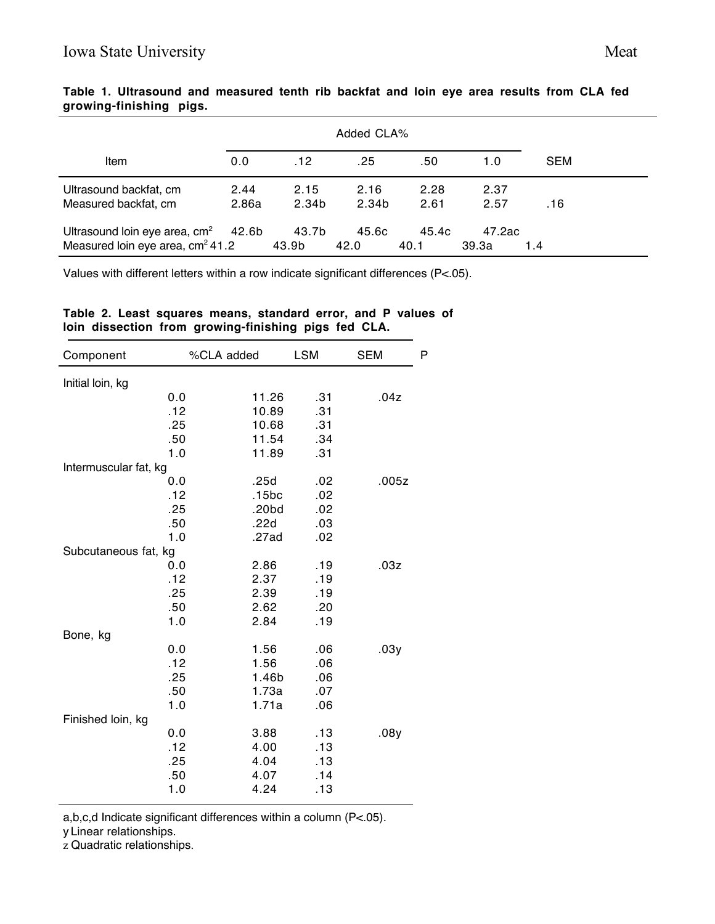| Item                                                                        | 0.0           | .12            | .25           | .50           | 1.0             | <b>SEM</b> |
|-----------------------------------------------------------------------------|---------------|----------------|---------------|---------------|-----------------|------------|
| Ultrasound backfat, cm<br>Measured backfat, cm                              | 2.44<br>2.86a | 2.15<br>2.34b  | 2.16<br>2.34b | 2.28<br>2.61  | 2.37<br>2.57    | .16        |
| Ultrasound loin eye area, $cm2$ 42.6b<br>Measured loin eye area, $cm2 41.2$ |               | 43.7b<br>43.9b | 45.6c<br>42.0 | 45.4c<br>40.1 | 47.2ac<br>39.3a | 1.4        |

**Table 1. Ultrasound and measured tenth rib backfat and loin eye area results from CLA fed growing-finishing pigs.**

Values with different letters within a row indicate significant differences (P<.05).

# **Table 2. Least squares means, standard error, and P values of loin dissection from growing-finishing pigs fed CLA.**

| Component             | %CLA added | <b>LSM</b> | <b>SEM</b> | P |
|-----------------------|------------|------------|------------|---|
| Initial loin, kg      |            |            |            |   |
| 0.0                   | 11.26      | .31        | .04z       |   |
| .12                   | 10.89      | .31        |            |   |
| .25                   | 10.68      | .31        |            |   |
| .50                   | 11.54      | .34        |            |   |
| 1.0                   | 11.89      | .31        |            |   |
| Intermuscular fat, kg |            |            |            |   |
| 0.0                   | .25d       | .02        | .005z      |   |
| .12                   | .15bc      | .02        |            |   |
| .25                   | .20bd      | .02        |            |   |
| .50                   | .22d       | .03        |            |   |
| 1.0                   | .27ad      | .02        |            |   |
| Subcutaneous fat, kg  |            |            |            |   |
| 0.0                   | 2.86       | .19        | .03z       |   |
| .12                   | 2.37       | .19        |            |   |
| .25                   | 2.39       | .19        |            |   |
| .50                   | 2.62       | .20        |            |   |
| 1.0                   | 2.84       | .19        |            |   |
| Bone, kg              |            |            |            |   |
| 0.0                   | 1.56       | .06        | .03y       |   |
| .12                   | 1.56       | .06        |            |   |
| .25                   | 1.46b      | .06        |            |   |
| .50                   | 1.73a      | .07        |            |   |
| 1.0                   | 1.71a      | .06        |            |   |
| Finished loin, kg     |            |            |            |   |
| 0.0                   | 3.88       | .13        | .08y       |   |
| .12                   | 4.00       | .13        |            |   |
| .25                   | 4.04       | .13        |            |   |
| .50                   | 4.07       | .14        |            |   |
| 1.0                   | 4.24       | .13        |            |   |

a,b,c,d Indicate significant differences within a column (P<.05).

y Linear relationships.

z Quadratic relationships.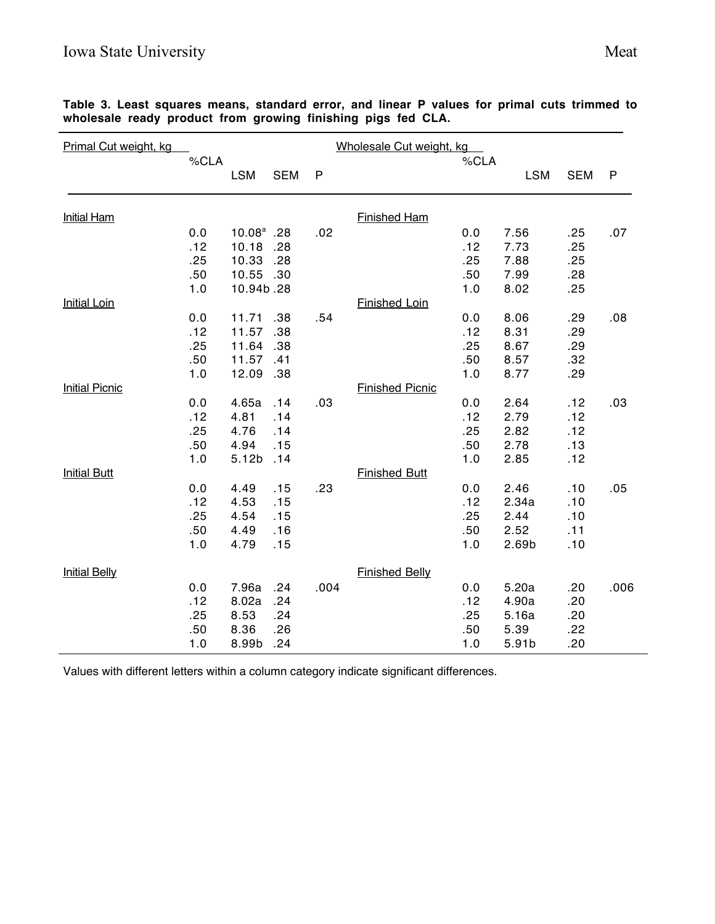| Primal Cut weight, kg | Wholesale Cut weight, kg |                   |            |      |                        |      |            |            |              |
|-----------------------|--------------------------|-------------------|------------|------|------------------------|------|------------|------------|--------------|
|                       | %CLA                     |                   |            |      |                        | %CLA |            |            |              |
|                       |                          | <b>LSM</b>        | <b>SEM</b> | P    |                        |      | <b>LSM</b> | <b>SEM</b> | $\mathsf{P}$ |
| <b>Initial Ham</b>    |                          |                   |            |      | <b>Finished Ham</b>    |      |            |            |              |
|                       | 0.0                      | $10.08^a$ .28     |            | .02  |                        | 0.0  | 7.56       | .25        | .07          |
|                       | .12                      | 10.18             | .28        |      |                        | .12  | 7.73       | .25        |              |
|                       | .25                      | 10.33             | .28        |      |                        | .25  | 7.88       | .25        |              |
|                       | .50                      | 10.55             | .30        |      |                        | .50  | 7.99       | .28        |              |
|                       | 1.0                      | 10.94b.28         |            |      |                        | 1.0  | 8.02       | .25        |              |
| <b>Initial Loin</b>   |                          |                   |            |      | <b>Finished Loin</b>   |      |            |            |              |
|                       | 0.0                      | 11.71             | .38        | .54  |                        | 0.0  | 8.06       | .29        | .08          |
|                       | .12                      | 11.57             | .38        |      |                        | .12  | 8.31       | .29        |              |
|                       | .25                      | 11.64             | .38        |      |                        | .25  | 8.67       | .29        |              |
|                       | .50                      | 11.57             | .41        |      |                        | .50  | 8.57       | .32        |              |
|                       | 1.0                      | 12.09             | .38        |      |                        | 1.0  | 8.77       | .29        |              |
| <b>Initial Picnic</b> |                          |                   |            |      | <b>Finished Picnic</b> |      |            |            |              |
|                       | 0.0                      | 4.65a             | .14        | .03  |                        | 0.0  | 2.64       | .12        | .03          |
|                       | .12                      | 4.81              | .14        |      |                        | .12  | 2.79       | .12        |              |
|                       | .25                      | 4.76              | .14        |      |                        | .25  | 2.82       | .12        |              |
|                       | .50                      | 4.94              | .15        |      |                        | .50  | 2.78       | .13        |              |
|                       | 1.0                      | 5.12 <sub>b</sub> | .14        |      |                        | 1.0  | 2.85       | .12        |              |
| <b>Initial Butt</b>   |                          |                   |            |      | <b>Finished Butt</b>   |      |            |            |              |
|                       | 0.0                      | 4.49              | .15        | .23  |                        | 0.0  | 2.46       | .10        | .05          |
|                       | .12                      | 4.53              | .15        |      |                        | .12  | 2.34a      | .10        |              |
|                       | .25                      | 4.54              | .15        |      |                        | .25  | 2.44       | .10        |              |
|                       | .50                      | 4.49              | .16        |      |                        | .50  | 2.52       | .11        |              |
|                       | 1.0                      | 4.79              | .15        |      |                        | 1.0  | 2.69b      | .10        |              |
| <b>Initial Belly</b>  |                          |                   |            |      | <b>Finished Belly</b>  |      |            |            |              |
|                       | 0.0                      | 7.96a             | .24        | .004 |                        | 0.0  | 5.20a      | .20        | .006         |
|                       | .12                      | 8.02a             | .24        |      |                        | .12  | 4.90a      | .20        |              |
|                       | .25                      | 8.53              | .24        |      |                        | .25  | 5.16a      | .20        |              |
|                       | .50                      | 8.36              | .26        |      |                        | .50  | 5.39       | .22        |              |
|                       | 1.0                      | 8.99b             | .24        |      |                        | 1.0  | 5.91b      | .20        |              |

**Table 3. Least squares means, standard error, and linear P values for primal cuts trimmed to wholesale ready product from growing finishing pigs fed CLA.**

Values with different letters within a column category indicate significant differences.